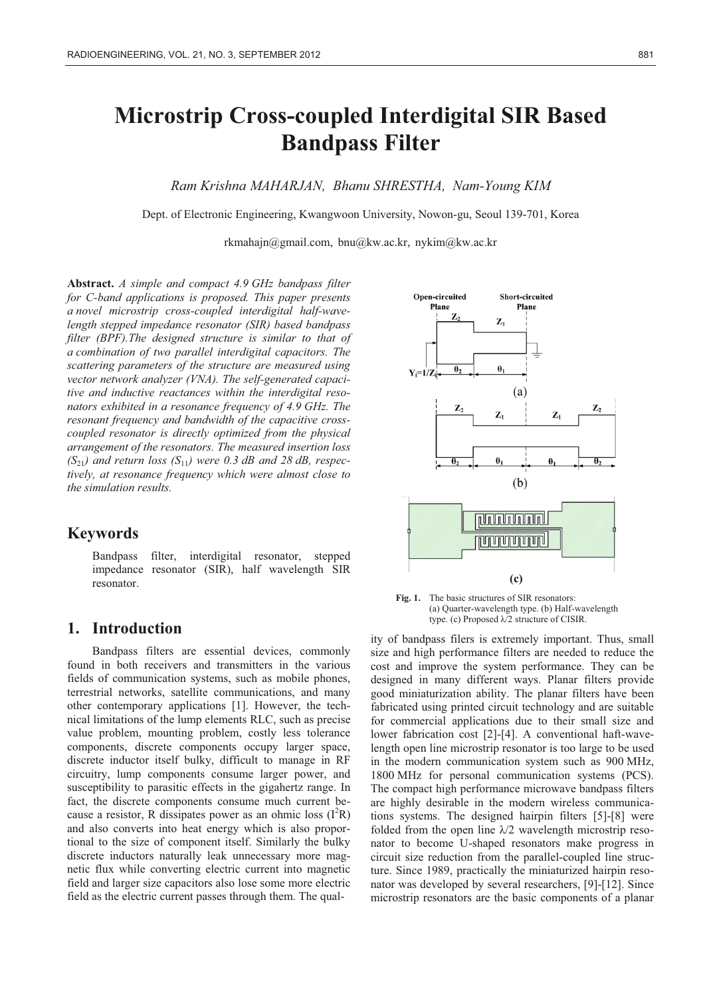# **Microstrip Cross-coupled Interdigital SIR Based Bandpass Filter**

*Ram Krishna MAHARJAN, Bhanu SHRESTHA, Nam-Young KIM* 

Dept. of Electronic Engineering, Kwangwoon University, Nowon-gu, Seoul 139-701, Korea

rkmahajn@gmail.com, bnu@kw.ac.kr, nykim@kw.ac.kr

**Abstract.** *A simple and compact 4.9 GHz bandpass filter for C-band applications is proposed. This paper presents a novel microstrip cross-coupled interdigital half-wavelength stepped impedance resonator (SIR) based bandpass filter (BPF).The designed structure is similar to that of a combination of two parallel interdigital capacitors. The scattering parameters of the structure are measured using vector network analyzer (VNA). The self-generated capacitive and inductive reactances within the interdigital resonators exhibited in a resonance frequency of 4.9 GHz. The resonant frequency and bandwidth of the capacitive crosscoupled resonator is directly optimized from the physical arrangement of the resonators. The measured insertion loss*   $(S_{21})$  and return loss  $(S_{11})$  were 0.3 dB and 28 dB, respec*tively, at resonance frequency which were almost close to the simulation results.* 

#### **Keywords**

Bandpass filter, interdigital resonator, stepped impedance resonator (SIR), half wavelength SIR resonator.

# **1. Introduction**

Bandpass filters are essential devices, commonly found in both receivers and transmitters in the various fields of communication systems, such as mobile phones, terrestrial networks, satellite communications, and many other contemporary applications [1]. However, the technical limitations of the lump elements RLC, such as precise value problem, mounting problem, costly less tolerance components, discrete components occupy larger space, discrete inductor itself bulky, difficult to manage in RF circuitry, lump components consume larger power, and susceptibility to parasitic effects in the gigahertz range. In fact, the discrete components consume much current because a resistor, R dissipates power as an ohmic loss  $(I^2R)$ and also converts into heat energy which is also proportional to the size of component itself. Similarly the bulky discrete inductors naturally leak unnecessary more magnetic flux while converting electric current into magnetic field and larger size capacitors also lose some more electric field as the electric current passes through them. The qual-





ity of bandpass filers is extremely important. Thus, small size and high performance filters are needed to reduce the cost and improve the system performance. They can be designed in many different ways. Planar filters provide good miniaturization ability. The planar filters have been fabricated using printed circuit technology and are suitable for commercial applications due to their small size and lower fabrication cost [2]-[4]. A conventional haft-wavelength open line microstrip resonator is too large to be used in the modern communication system such as 900 MHz, 1800 MHz for personal communication systems (PCS). The compact high performance microwave bandpass filters are highly desirable in the modern wireless communications systems. The designed hairpin filters [5]-[8] were folded from the open line  $\lambda/2$  wavelength microstrip resonator to become U-shaped resonators make progress in circuit size reduction from the parallel-coupled line structure. Since 1989, practically the miniaturized hairpin resonator was developed by several researchers, [9]-[12]. Since microstrip resonators are the basic components of a planar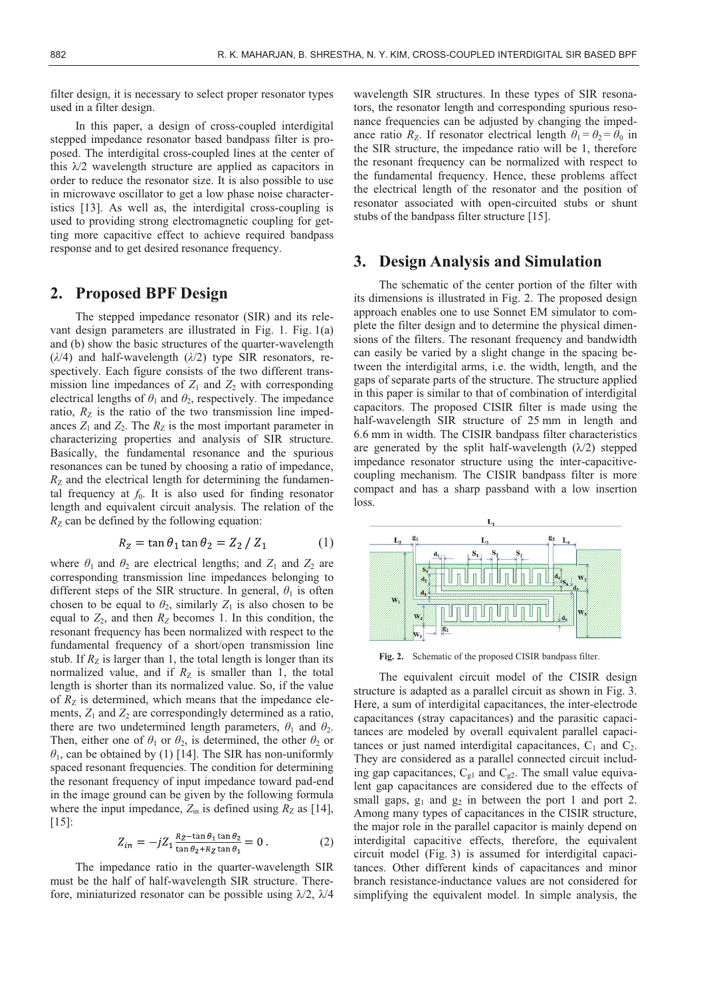filter design, it is necessary to select proper resonator types used in a filter design.

In this paper, a design of cross-coupled interdigital stepped impedance resonator based bandpass filter is proposed. The interdigital cross-coupled lines at the center of this  $\lambda/2$  wavelength structure are applied as capacitors in order to reduce the resonator size. It is also possible to use in microwave oscillator to get a low phase noise characteristics [13]. As well as, the interdigital cross-coupling is used to providing strong electromagnetic coupling for getting more capacitive effect to achieve required bandpass response and to get desired resonance frequency.

# **2. Proposed BPF Design**

The stepped impedance resonator (SIR) and its relevant design parameters are illustrated in Fig. 1. Fig. 1(a) and (b) show the basic structures of the quarter-wavelength (*λ*/4) and half-wavelength (*λ*/2) type SIR resonators, respectively. Each figure consists of the two different transmission line impedances of  $Z_1$  and  $Z_2$  with corresponding electrical lengths of  $\theta_1$  and  $\theta_2$ , respectively. The impedance ratio,  $R_{\rm Z}$  is the ratio of the two transmission line impedances  $Z_1$  and  $Z_2$ . The  $R_Z$  is the most important parameter in characterizing properties and analysis of SIR structure. Basically, the fundamental resonance and the spurious resonances can be tuned by choosing a ratio of impedance,  $R_Z$  and the electrical length for determining the fundamental frequency at  $f_0$ . It is also used for finding resonator length and equivalent circuit analysis. The relation of the  $R_Z$  can be defined by the following equation:

$$
R_Z = \tan \theta_1 \tan \theta_2 = Z_2 / Z_1 \tag{1}
$$

where  $\theta_1$  and  $\theta_2$  are electrical lengths; and  $Z_1$  and  $Z_2$  are corresponding transmission line impedances belonging to different steps of the SIR structure. In general,  $\theta_1$  is often chosen to be equal to  $\theta_2$ , similarly  $Z_1$  is also chosen to be equal to  $Z_2$ , and then  $R_Z$  becomes 1. In this condition, the resonant frequency has been normalized with respect to the fundamental frequency of a short/open transmission line stub. If  $R<sub>Z</sub>$  is larger than 1, the total length is longer than its normalized value, and if  $R_Z$  is smaller than 1, the total length is shorter than its normalized value. So, if the value of  $R_Z$  is determined, which means that the impedance elements,  $Z_1$  and  $Z_2$  are correspondingly determined as a ratio, there are two undetermined length parameters,  $\theta_1$  and  $\theta_2$ . Then, either one of  $\theta_1$  or  $\theta_2$ , is determined, the other  $\theta_2$  or *θ*1, can be obtained by (1) [14]. The SIR has non-uniformly spaced resonant frequencies. The condition for determining the resonant frequency of input impedance toward pad-end in the image ground can be given by the following formula where the input impedance,  $Z_{\text{in}}$  is defined using  $R_Z$  as [14], [15]:

$$
Z_{in} = -jZ_1 \frac{R_Z - \tan \theta_1 \tan \theta_2}{\tan \theta_2 + R_Z \tan \theta_1} = 0.
$$
 (2)

The impedance ratio in the quarter-wavelength SIR must be the half of half-wavelength SIR structure. Therefore, miniaturized resonator can be possible using  $\lambda/2$ ,  $\lambda/4$ 

wavelength SIR structures. In these types of SIR resonators, the resonator length and corresponding spurious resonance frequencies can be adjusted by changing the impedance ratio  $R_Z$ . If resonator electrical length  $\theta_1 = \theta_2 = \theta_0$  in the SIR structure, the impedance ratio will be 1, therefore the resonant frequency can be normalized with respect to the fundamental frequency. Hence, these problems affect the electrical length of the resonator and the position of resonator associated with open-circuited stubs or shunt stubs of the bandpass filter structure [15].

#### **3. Design Analysis and Simulation**

The schematic of the center portion of the filter with its dimensions is illustrated in Fig. 2. The proposed design approach enables one to use Sonnet EM simulator to complete the filter design and to determine the physical dimensions of the filters. The resonant frequency and bandwidth can easily be varied by a slight change in the spacing between the interdigital arms, i.e. the width, length, and the gaps of separate parts of the structure. The structure applied in this paper is similar to that of combination of interdigital capacitors. The proposed CISIR filter is made using the half-wavelength SIR structure of 25 mm in length and 6.6 mm in width. The CISIR bandpass filter characteristics are generated by the split half-wavelength  $(\lambda/2)$  stepped impedance resonator structure using the inter-capacitivecoupling mechanism. The CISIR bandpass filter is more compact and has a sharp passband with a low insertion loss.



**Fig. 2.** Schematic of the proposed CISIR bandpass filter.

The equivalent circuit model of the CISIR design structure is adapted as a parallel circuit as shown in Fig. 3. Here, a sum of interdigital capacitances, the inter-electrode capacitances (stray capacitances) and the parasitic capacitances are modeled by overall equivalent parallel capacitances or just named interdigital capacitances,  $C_1$  and  $C_2$ . They are considered as a parallel connected circuit including gap capacitances,  $C_{g1}$  and  $C_{g2}$ . The small value equivalent gap capacitances are considered due to the effects of small gaps,  $g_1$  and  $g_2$  in between the port 1 and port 2. Among many types of capacitances in the CISIR structure, the major role in the parallel capacitor is mainly depend on interdigital capacitive effects, therefore, the equivalent circuit model (Fig. 3) is assumed for interdigital capacitances. Other different kinds of capacitances and minor branch resistance-inductance values are not considered for simplifying the equivalent model. In simple analysis, the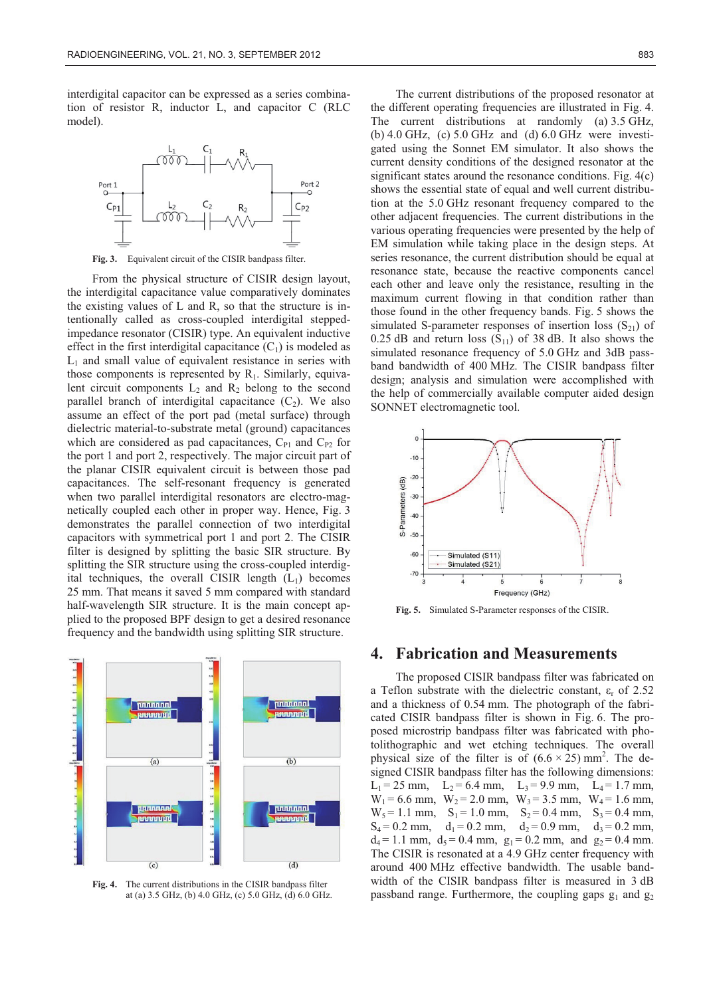interdigital capacitor can be expressed as a series combination of resistor R, inductor L, and capacitor C (RLC model).



**Fig. 3.** Equivalent circuit of the CISIR bandpass filter.

From the physical structure of CISIR design layout, the interdigital capacitance value comparatively dominates the existing values of L and R, so that the structure is intentionally called as cross-coupled interdigital steppedimpedance resonator (CISIR) type. An equivalent inductive effect in the first interdigital capacitance  $(C_1)$  is modeled as  $L_1$  and small value of equivalent resistance in series with those components is represented by  $R_1$ . Similarly, equivalent circuit components  $L_2$  and  $R_2$  belong to the second parallel branch of interdigital capacitance  $(C_2)$ . We also assume an effect of the port pad (metal surface) through dielectric material-to-substrate metal (ground) capacitances which are considered as pad capacitances,  $C_{P1}$  and  $C_{P2}$  for the port 1 and port 2, respectively. The major circuit part of the planar CISIR equivalent circuit is between those pad capacitances. The self-resonant frequency is generated when two parallel interdigital resonators are electro-magnetically coupled each other in proper way. Hence, Fig. 3 demonstrates the parallel connection of two interdigital capacitors with symmetrical port 1 and port 2. The CISIR filter is designed by splitting the basic SIR structure. By splitting the SIR structure using the cross-coupled interdigital techniques, the overall CISIR length  $(L<sub>1</sub>)$  becomes 25 mm. That means it saved 5 mm compared with standard half-wavelength SIR structure. It is the main concept applied to the proposed BPF design to get a desired resonance frequency and the bandwidth using splitting SIR structure.



**Fig. 4.** The current distributions in the CISIR bandpass filter at (a) 3.5 GHz, (b) 4.0 GHz, (c) 5.0 GHz, (d) 6.0 GHz.

The current distributions of the proposed resonator at the different operating frequencies are illustrated in Fig. 4. The current distributions at randomly (a) 3.5 GHz, (b) 4.0 GHz, (c) 5.0 GHz and (d) 6.0 GHz were investigated using the Sonnet EM simulator. It also shows the current density conditions of the designed resonator at the significant states around the resonance conditions. Fig. 4(c) shows the essential state of equal and well current distribution at the 5.0 GHz resonant frequency compared to the other adjacent frequencies. The current distributions in the various operating frequencies were presented by the help of EM simulation while taking place in the design steps. At series resonance, the current distribution should be equal at resonance state, because the reactive components cancel each other and leave only the resistance, resulting in the maximum current flowing in that condition rather than those found in the other frequency bands. Fig. 5 shows the simulated S-parameter responses of insertion loss  $(S_{21})$  of 0.25 dB and return loss  $(S_{11})$  of 38 dB. It also shows the simulated resonance frequency of 5.0 GHz and 3dB passband bandwidth of 400 MHz. The CISIR bandpass filter design; analysis and simulation were accomplished with the help of commercially available computer aided design SONNET electromagnetic tool.



**Fig. 5.** Simulated S-Parameter responses of the CISIR.

# **4. Fabrication and Measurements**

The proposed CISIR bandpass filter was fabricated on a Teflon substrate with the dielectric constant,  $\varepsilon_r$  of 2.52 and a thickness of 0.54 mm. The photograph of the fabricated CISIR bandpass filter is shown in Fig. 6. The proposed microstrip bandpass filter was fabricated with photolithographic and wet etching techniques. The overall physical size of the filter is of  $(6.6 \times 25)$  mm<sup>2</sup>. The designed CISIR bandpass filter has the following dimensions:  $L_1 = 25$  mm,  $L_2 = 6.4$  mm,  $L_3 = 9.9$  mm,  $L_4 = 1.7$  mm,  $W_1 = 6.6$  mm,  $W_2 = 2.0$  mm,  $W_3 = 3.5$  mm,  $W_4 = 1.6$  mm,  $W_5 = 1.1$  mm,  $S_1 = 1.0$  mm,  $S_2 = 0.4$  mm,  $S_3 = 0.4$  mm,  $S_4 = 0.2$  mm,  $d_1 = 0.2$  mm,  $d_2 = 0.9$  mm,  $d_3 = 0.2$  mm,  $d_4 = 1.1$  mm,  $d_5 = 0.4$  mm,  $g_1 = 0.2$  mm, and  $g_2 = 0.4$  mm. The CISIR is resonated at a 4.9 GHz center frequency with around 400 MHz effective bandwidth. The usable bandwidth of the CISIR bandpass filter is measured in 3 dB passband range. Furthermore, the coupling gaps  $g_1$  and  $g_2$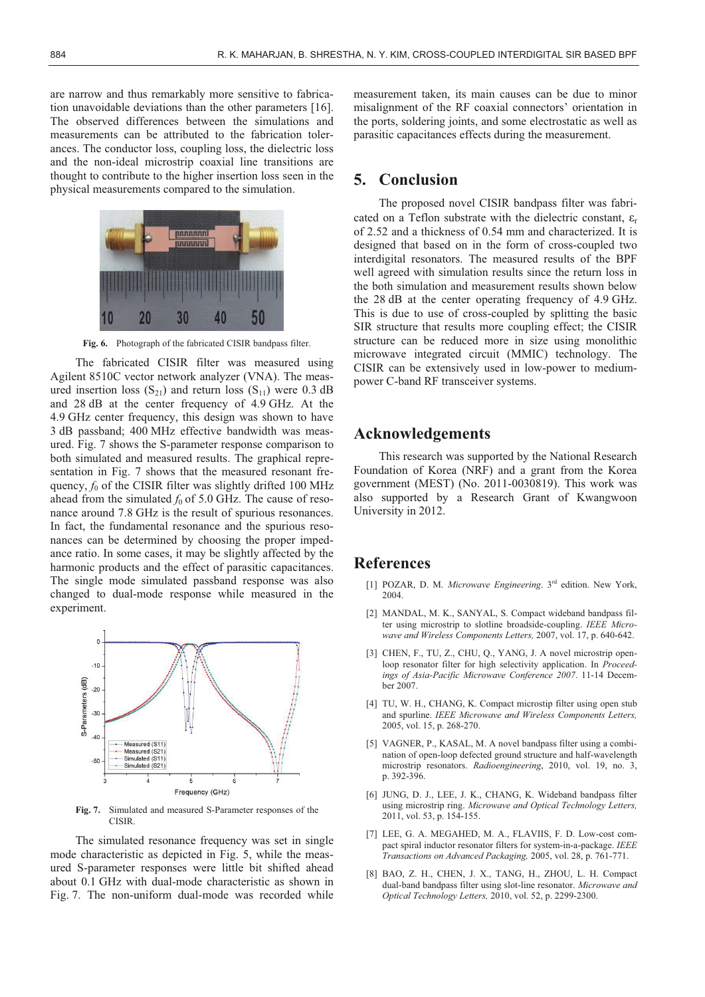are narrow and thus remarkably more sensitive to fabrication unavoidable deviations than the other parameters [16]. The observed differences between the simulations and measurements can be attributed to the fabrication tolerances. The conductor loss, coupling loss, the dielectric loss and the non-ideal microstrip coaxial line transitions are thought to contribute to the higher insertion loss seen in the physical measurements compared to the simulation.



**Fig. 6.** Photograph of the fabricated CISIR bandpass filter.

The fabricated CISIR filter was measured using Agilent 8510C vector network analyzer (VNA). The measured insertion loss  $(S_{21})$  and return loss  $(S_{11})$  were 0.3 dB and 28 dB at the center frequency of 4.9 GHz. At the 4.9 GHz center frequency, this design was shown to have 3 dB passband; 400 MHz effective bandwidth was measured. Fig. 7 shows the S-parameter response comparison to both simulated and measured results. The graphical representation in Fig. 7 shows that the measured resonant frequency,  $f_0$  of the CISIR filter was slightly drifted 100 MHz ahead from the simulated  $f_0$  of 5.0 GHz. The cause of resonance around 7.8 GHz is the result of spurious resonances. In fact, the fundamental resonance and the spurious resonances can be determined by choosing the proper impedance ratio. In some cases, it may be slightly affected by the harmonic products and the effect of parasitic capacitances. The single mode simulated passband response was also changed to dual-mode response while measured in the experiment.



**Fig. 7.** Simulated and measured S-Parameter responses of the CISIR.

The simulated resonance frequency was set in single mode characteristic as depicted in Fig. 5, while the measured S-parameter responses were little bit shifted ahead about 0.1 GHz with dual-mode characteristic as shown in Fig. 7. The non-uniform dual-mode was recorded while measurement taken, its main causes can be due to minor misalignment of the RF coaxial connectors' orientation in the ports, soldering joints, and some electrostatic as well as parasitic capacitances effects during the measurement.

### **5. Conclusion**

The proposed novel CISIR bandpass filter was fabricated on a Teflon substrate with the dielectric constant,  $\varepsilon_r$ of 2.52 and a thickness of 0.54 mm and characterized. It is designed that based on in the form of cross-coupled two interdigital resonators. The measured results of the BPF well agreed with simulation results since the return loss in the both simulation and measurement results shown below the 28 dB at the center operating frequency of 4.9 GHz. This is due to use of cross-coupled by splitting the basic SIR structure that results more coupling effect; the CISIR structure can be reduced more in size using monolithic microwave integrated circuit (MMIC) technology. The CISIR can be extensively used in low-power to mediumpower C-band RF transceiver systems.

# **Acknowledgements**

This research was supported by the National Research Foundation of Korea (NRF) and a grant from the Korea government (MEST) (No. 2011-0030819). This work was also supported by a Research Grant of Kwangwoon University in 2012.

### **References**

- [1] POZAR, D. M. *Microwave Engineering*. 3rd edition. New York, 2004.
- [2] MANDAL, M. K., SANYAL, S. Compact wideband bandpass filter using microstrip to slotline broadside-coupling. *IEEE Microwave and Wireless Components Letters,* 2007, vol. 17, p. 640-642.
- [3] CHEN, F., TU, Z., CHU, Q., YANG, J. A novel microstrip openloop resonator filter for high selectivity application. In *Proceedings of Asia-Pacific Microwave Conference 2007*. 11-14 December 2007.
- [4] TU, W. H., CHANG, K. Compact microstip filter using open stub and spurline. *IEEE Microwave and Wireless Components Letters,* 2005, vol. 15, p. 268-270.
- [5] VAGNER, P., KASAL, M. A novel bandpass filter using a combination of open-loop defected ground structure and half-wavelength microstrip resonators. *Radioengineering*, 2010, vol. 19, no. 3, p. 392-396.
- [6] JUNG, D. J., LEE, J. K., CHANG, K. Wideband bandpass filter using microstrip ring. *Microwave and Optical Technology Letters,* 2011, vol. 53, p. 154-155.
- [7] LEE, G. A. MEGAHED, M. A., FLAVIIS, F. D. Low-cost compact spiral inductor resonator filters for system-in-a-package. *IEEE Transactions on Advanced Packaging,* 2005, vol. 28, p. 761-771.
- [8] BAO, Z. H., CHEN, J. X., TANG, H., ZHOU, L. H. Compact dual-band bandpass filter using slot-line resonator. *Microwave and Optical Technology Letters,* 2010, vol. 52, p. 2299-2300.